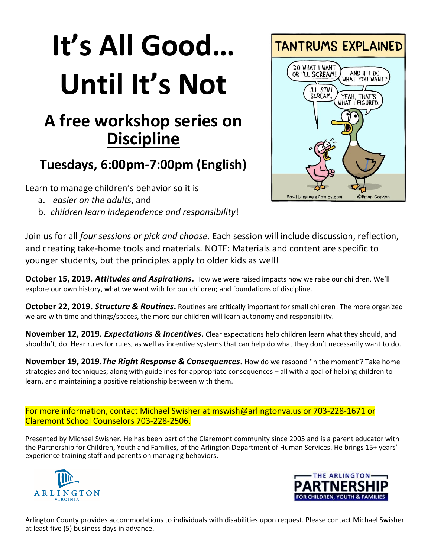# **It's All Good… Until It's Not**

## **A free workshop series on Discipline**

#### **Tuesdays, 6:00pm-7:00pm (English)**

Learn to manage children's behavior so it is

- a. *easier on the adults*, and
- b. *children learn independence and responsibility*!



Join us for all *four sessions or pick and choose*. Each session will include discussion, reflection, and creating take-home tools and materials. NOTE: Materials and content are specific to younger students, but the principles apply to older kids as well!

**October 15, 2019.** *Attitudes and Aspirations***.** How we were raised impacts how we raise our children. We'll explore our own history, what we want with for our children; and foundations of discipline.

**October 22, 2019. Structure & Routines.** Routines are critically important for small children! The more organized we are with time and things/spaces, the more our children will learn autonomy and responsibility.

**November 12, 2019.** *Expectations & Incentives***.** Clear expectations help children learn what they should, and shouldn't, do. Hear rules for rules, as well as incentive systems that can help do what they don't necessarily want to do.

**November 19, 2019.***The Right Response & Consequences***.** How do we respond 'in the moment'? Take home strategies and techniques; along with guidelines for appropriate consequences – all with a goal of helping children to learn, and maintaining a positive relationship between with them.

For more information, contact Michael Swisher at [mswish@arlingtonva.us](mailto:mswish@arlingtonva.us) or 703-228-1671 or Claremont School Counselors 703-228-2506.

Presented by Michael Swisher. He has been part of the Claremont community since 2005 and is a parent educator with the Partnership for Children, Youth and Families, of the Arlington Department of Human Services. He brings 15+ years' experience training staff and parents on managing behaviors.





Arlington County provides accommodations to individuals with disabilities upon request. Please contact Michael Swisher at least five (5) business days in advance.